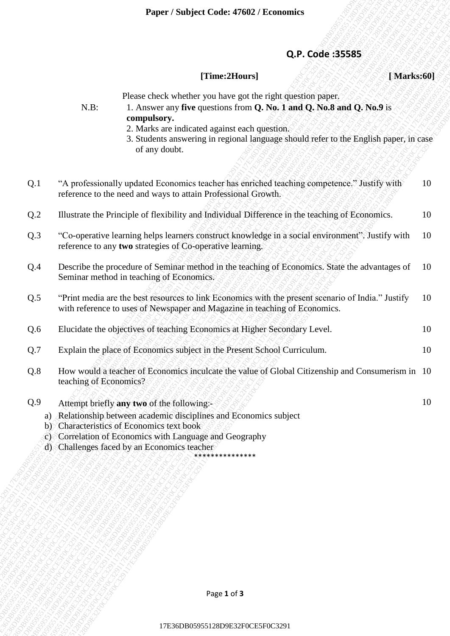## **Q.P. Code :35585**

## **[Time:2Hours] [ Marks:60]**

|                                           |                        | Paper / Subject Code: 47602 / Economics                                                                                                                                                                                                                                         |    |
|-------------------------------------------|------------------------|---------------------------------------------------------------------------------------------------------------------------------------------------------------------------------------------------------------------------------------------------------------------------------|----|
|                                           |                        |                                                                                                                                                                                                                                                                                 |    |
|                                           |                        | Q.P. Code: 35585                                                                                                                                                                                                                                                                |    |
|                                           |                        | [Time:2Hours]<br>[Marks:60]                                                                                                                                                                                                                                                     |    |
|                                           | $N.B$ :                | Please check whether you have got the right question paper.<br>1. Answer any five questions from Q. No. 1 and Q. No. 8 and Q. No. 9 is                                                                                                                                          |    |
|                                           |                        | compulsory.<br>2. Marks are indicated against each question.<br>3. Students answering in regional language should refer to the English paper, in case<br>of any doubt.                                                                                                          |    |
| Q.1                                       |                        | "A professionally updated Economics teacher has enriched teaching competence." Justify with<br>reference to the need and ways to attain Professional Growth.                                                                                                                    | 10 |
| Q.2                                       |                        | Illustrate the Principle of flexibility and Individual Difference in the teaching of Economics.                                                                                                                                                                                 | 10 |
| Q.3                                       |                        | "Co-operative learning helps learners construct knowledge in a social environment". Justify with<br>reference to any two strategies of Co-operative learning.                                                                                                                   | 10 |
| Q.4                                       |                        | Describe the procedure of Seminar method in the teaching of Economics. State the advantages of<br>Seminar method in teaching of Economics.                                                                                                                                      | 10 |
| Q.5                                       |                        | "Print media are the best resources to link Economics with the present scenario of India." Justify<br>with reference to uses of Newspaper and Magazine in teaching of Economics.                                                                                                | 10 |
| Q.6                                       |                        | Elucidate the objectives of teaching Economics at Higher Secondary Level.                                                                                                                                                                                                       | 10 |
| Q.7                                       |                        | Explain the place of Economics subject in the Present School Curriculum.                                                                                                                                                                                                        | 10 |
| Q.8                                       | teaching of Economics? | How would a teacher of Economics inculcate the value of Global Citizenship and Consumerism in 10                                                                                                                                                                                |    |
| Q.9<br>a)<br>$\mathbf{b}$<br>$\mathbf{C}$ |                        | Attempt briefly any two of the following:-<br>Relationship between academic disciplines and Economics subject<br>Characteristics of Economics text book<br>Correlation of Economics with Language and Geography<br>d) Challenges faced by an Economics teacher<br>************* | 10 |
|                                           |                        |                                                                                                                                                                                                                                                                                 |    |
|                                           |                        |                                                                                                                                                                                                                                                                                 |    |
|                                           |                        |                                                                                                                                                                                                                                                                                 |    |
|                                           |                        |                                                                                                                                                                                                                                                                                 |    |
|                                           |                        |                                                                                                                                                                                                                                                                                 |    |
|                                           |                        |                                                                                                                                                                                                                                                                                 |    |
|                                           |                        | Page 1 of 3                                                                                                                                                                                                                                                                     |    |
|                                           |                        | 17E36DB05955128D9E32F0CE5F0C3291                                                                                                                                                                                                                                                |    |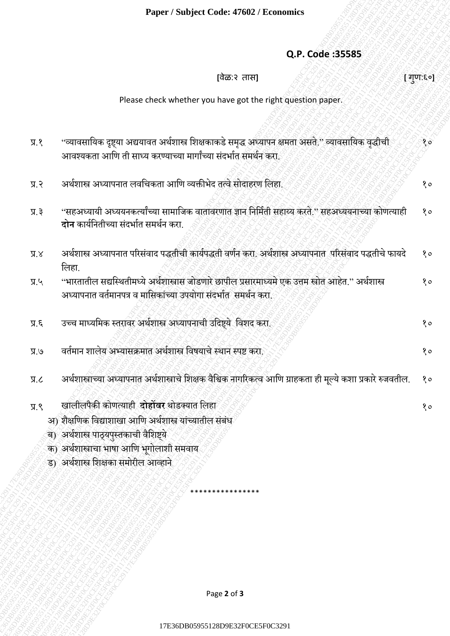## **Q.P. Code :35585**

| Q.P. Code: 35585<br>[वेळ:२ तास]<br>Please check whether you have got the right question paper.<br>''व्यावसायिक दृष्ट्या अद्ययावत अर्थशास्त्र शिक्षकाकडे समृद्ध अध्यापन क्षमता असते.'' व्यावसायिक वृद्धीची<br>9.8<br>आवश्यकता आणि ती साध्य करण्याच्या मार्गांच्या संदर्भात समर्थन करो.<br>अर्थशास्त्र अध्यापनात लवचिकता आणि व्यक्तीभेद तत्वे सोदाहरण लिहा.<br>9.8<br>''सहअध्यायी अध्ययनकर्त्यांच्या सामाजिक वातावरणात ज्ञान निर्मिती सहाय्य करते.'' सहअध्ययनाच्या कोणत्याही<br>5.8<br><b>दोन</b> कार्यनितीच्या संदर्भात समर्थन करा.<br>अर्थशास्त्र अध्यापनात परिसंवाद पद्धतीची कार्यपद्धती वर्णन करा. अर्थशास्त्र अध्यापनात परिसंवाद पद्धतीचे फायदे<br>$X.\overline{X}$<br>लिहा.<br>''भारतातील सद्यस्थितीमध्ये अर्थशास्त्रास जोडणारे छापील प्रसारमाध्यमे एक उत्तम स्त्रोत आहेत.'' अर्थशास्त्र<br>$y_R$<br>अध्यापनात वर्तमानपत्र व मासिकांच्या उपयोगा संदर्भात समर्थन करा.<br>उच्च माध्यमिक स्तुरावर अर्थशास्त्र अध्यापनाची उदिष्ट्ये विशद करा.<br>$\mathcal{F}.\mathcal{K}$<br>वर्तमान शालेय अभ्यासक्रमात अर्थशास्त्र विषयाचे स्थान स्पष्ट करा.<br>$e$ . R<br>अर्थशास्त्राच्या अध्यापनात अर्थशास्त्राचे शिक्षक वैश्विक नागरिकत्व आणि ग्राहकता ही मूल्ये कशा प्रकारे रुजवतील.<br>J.R<br>खालीलपैकी कोणत्याही दोहोंबर थोडक्यात लिहा<br>9.8<br>अ) शैक्षणिक विद्याशाखा आणि अर्थशास्त्र यांच्यातील संबंध<br>ब) अर्थशास्त्र पाठ्यपुस्तकाची वैशिष्ट्ये<br>क) अर्थशास्त्राचा भाषा आणि भूगोलाशी समवाय<br>ड) अर्थशास्त्र शिक्षका समोरील आव्हाने<br>Page 2 of 3 | Paper / Subject Code: 47602 / Economics |           |
|----------------------------------------------------------------------------------------------------------------------------------------------------------------------------------------------------------------------------------------------------------------------------------------------------------------------------------------------------------------------------------------------------------------------------------------------------------------------------------------------------------------------------------------------------------------------------------------------------------------------------------------------------------------------------------------------------------------------------------------------------------------------------------------------------------------------------------------------------------------------------------------------------------------------------------------------------------------------------------------------------------------------------------------------------------------------------------------------------------------------------------------------------------------------------------------------------------------------------------------------------------------------------------------------------------------------------------------------------------------------------------------------------------------------------------------------------|-----------------------------------------|-----------|
|                                                                                                                                                                                                                                                                                                                                                                                                                                                                                                                                                                                                                                                                                                                                                                                                                                                                                                                                                                                                                                                                                                                                                                                                                                                                                                                                                                                                                                                    |                                         |           |
|                                                                                                                                                                                                                                                                                                                                                                                                                                                                                                                                                                                                                                                                                                                                                                                                                                                                                                                                                                                                                                                                                                                                                                                                                                                                                                                                                                                                                                                    |                                         |           |
|                                                                                                                                                                                                                                                                                                                                                                                                                                                                                                                                                                                                                                                                                                                                                                                                                                                                                                                                                                                                                                                                                                                                                                                                                                                                                                                                                                                                                                                    |                                         | [ गुण:६०] |
|                                                                                                                                                                                                                                                                                                                                                                                                                                                                                                                                                                                                                                                                                                                                                                                                                                                                                                                                                                                                                                                                                                                                                                                                                                                                                                                                                                                                                                                    |                                         |           |
|                                                                                                                                                                                                                                                                                                                                                                                                                                                                                                                                                                                                                                                                                                                                                                                                                                                                                                                                                                                                                                                                                                                                                                                                                                                                                                                                                                                                                                                    |                                         |           |
|                                                                                                                                                                                                                                                                                                                                                                                                                                                                                                                                                                                                                                                                                                                                                                                                                                                                                                                                                                                                                                                                                                                                                                                                                                                                                                                                                                                                                                                    |                                         | १०        |
|                                                                                                                                                                                                                                                                                                                                                                                                                                                                                                                                                                                                                                                                                                                                                                                                                                                                                                                                                                                                                                                                                                                                                                                                                                                                                                                                                                                                                                                    |                                         | १०        |
|                                                                                                                                                                                                                                                                                                                                                                                                                                                                                                                                                                                                                                                                                                                                                                                                                                                                                                                                                                                                                                                                                                                                                                                                                                                                                                                                                                                                                                                    |                                         | 80        |
|                                                                                                                                                                                                                                                                                                                                                                                                                                                                                                                                                                                                                                                                                                                                                                                                                                                                                                                                                                                                                                                                                                                                                                                                                                                                                                                                                                                                                                                    |                                         | 80        |
|                                                                                                                                                                                                                                                                                                                                                                                                                                                                                                                                                                                                                                                                                                                                                                                                                                                                                                                                                                                                                                                                                                                                                                                                                                                                                                                                                                                                                                                    |                                         | १०        |
|                                                                                                                                                                                                                                                                                                                                                                                                                                                                                                                                                                                                                                                                                                                                                                                                                                                                                                                                                                                                                                                                                                                                                                                                                                                                                                                                                                                                                                                    |                                         | १०        |
|                                                                                                                                                                                                                                                                                                                                                                                                                                                                                                                                                                                                                                                                                                                                                                                                                                                                                                                                                                                                                                                                                                                                                                                                                                                                                                                                                                                                                                                    |                                         | 80        |
|                                                                                                                                                                                                                                                                                                                                                                                                                                                                                                                                                                                                                                                                                                                                                                                                                                                                                                                                                                                                                                                                                                                                                                                                                                                                                                                                                                                                                                                    |                                         | 80        |
|                                                                                                                                                                                                                                                                                                                                                                                                                                                                                                                                                                                                                                                                                                                                                                                                                                                                                                                                                                                                                                                                                                                                                                                                                                                                                                                                                                                                                                                    |                                         | 80        |
|                                                                                                                                                                                                                                                                                                                                                                                                                                                                                                                                                                                                                                                                                                                                                                                                                                                                                                                                                                                                                                                                                                                                                                                                                                                                                                                                                                                                                                                    |                                         |           |
|                                                                                                                                                                                                                                                                                                                                                                                                                                                                                                                                                                                                                                                                                                                                                                                                                                                                                                                                                                                                                                                                                                                                                                                                                                                                                                                                                                                                                                                    |                                         |           |
|                                                                                                                                                                                                                                                                                                                                                                                                                                                                                                                                                                                                                                                                                                                                                                                                                                                                                                                                                                                                                                                                                                                                                                                                                                                                                                                                                                                                                                                    |                                         |           |
|                                                                                                                                                                                                                                                                                                                                                                                                                                                                                                                                                                                                                                                                                                                                                                                                                                                                                                                                                                                                                                                                                                                                                                                                                                                                                                                                                                                                                                                    |                                         |           |
|                                                                                                                                                                                                                                                                                                                                                                                                                                                                                                                                                                                                                                                                                                                                                                                                                                                                                                                                                                                                                                                                                                                                                                                                                                                                                                                                                                                                                                                    |                                         |           |
|                                                                                                                                                                                                                                                                                                                                                                                                                                                                                                                                                                                                                                                                                                                                                                                                                                                                                                                                                                                                                                                                                                                                                                                                                                                                                                                                                                                                                                                    |                                         |           |
|                                                                                                                                                                                                                                                                                                                                                                                                                                                                                                                                                                                                                                                                                                                                                                                                                                                                                                                                                                                                                                                                                                                                                                                                                                                                                                                                                                                                                                                    |                                         |           |
|                                                                                                                                                                                                                                                                                                                                                                                                                                                                                                                                                                                                                                                                                                                                                                                                                                                                                                                                                                                                                                                                                                                                                                                                                                                                                                                                                                                                                                                    |                                         |           |
|                                                                                                                                                                                                                                                                                                                                                                                                                                                                                                                                                                                                                                                                                                                                                                                                                                                                                                                                                                                                                                                                                                                                                                                                                                                                                                                                                                                                                                                    |                                         |           |
|                                                                                                                                                                                                                                                                                                                                                                                                                                                                                                                                                                                                                                                                                                                                                                                                                                                                                                                                                                                                                                                                                                                                                                                                                                                                                                                                                                                                                                                    |                                         |           |
|                                                                                                                                                                                                                                                                                                                                                                                                                                                                                                                                                                                                                                                                                                                                                                                                                                                                                                                                                                                                                                                                                                                                                                                                                                                                                                                                                                                                                                                    |                                         |           |
|                                                                                                                                                                                                                                                                                                                                                                                                                                                                                                                                                                                                                                                                                                                                                                                                                                                                                                                                                                                                                                                                                                                                                                                                                                                                                                                                                                                                                                                    |                                         |           |
|                                                                                                                                                                                                                                                                                                                                                                                                                                                                                                                                                                                                                                                                                                                                                                                                                                                                                                                                                                                                                                                                                                                                                                                                                                                                                                                                                                                                                                                    |                                         |           |
|                                                                                                                                                                                                                                                                                                                                                                                                                                                                                                                                                                                                                                                                                                                                                                                                                                                                                                                                                                                                                                                                                                                                                                                                                                                                                                                                                                                                                                                    | 17E36DB05955128D9E32F0CE5F0C3291        |           |